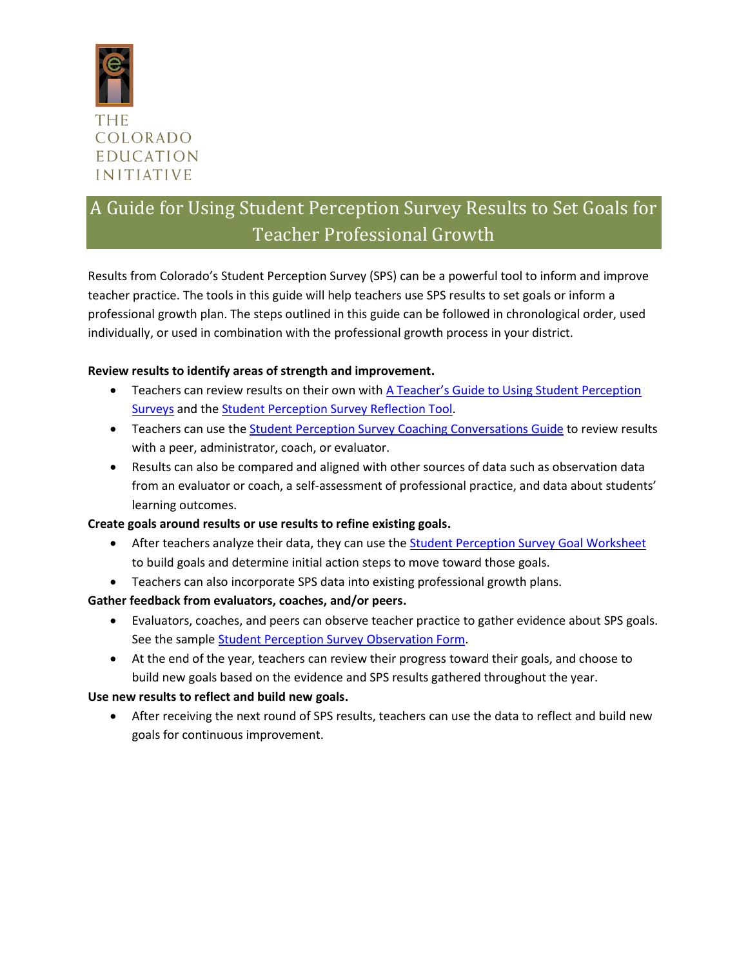

## A Guide for Using Student Perception Survey Results to Set Goals for Teacher Professional Growth

Results from Colorado's Student Perception Survey (SPS) can be a powerful tool to inform and improve teacher practice. The tools in this guide will help teachers use SPS results to set goals or inform a professional growth plan. The steps outlined in this guide can be followed in chronological order, used individually, or used in combination with the professional growth process in your district.

### **Review results to identify areas of strength and improvement.**

- Teachers can review results on their own with A Teacher'[s Guide to Using Student Perception](#page-1-0)  [Surveys](#page-1-0) and th[e Student Perception Survey](#page-3-0) Reflection Tool.
- Teachers can use the Student Perception Survey [Coaching Conversations Guide](#page-5-0) to review results with a peer, administrator, coach, or evaluator.
- Results can also be compared and aligned with other sources of data such as observation data from an evaluator or coach, a self-assessment of professional practice, and data about students' learning outcomes.

#### **Create goals around results or use results to refine existing goals.**

- After teachers analyze their data, they can use the **Student Perception Survey Goal Worksheet** to build goals and determine initial action steps to move toward those goals.
- Teachers can also incorporate SPS data into existing professional growth plans.

### **Gather feedback from evaluators, coaches, and/or peers.**

- Evaluators, coaches, and peers can observe teacher practice to gather evidence about SPS goals. See the sampl[e Student Perception Survey](#page-12-0) Observation Form.
- At the end of the year, teachers can review their progress toward their goals, and choose to build new goals based on the evidence and SPS results gathered throughout the year.

### **Use new results to reflect and build new goals.**

 After receiving the next round of SPS results, teachers can use the data to reflect and build new goals for continuous improvement.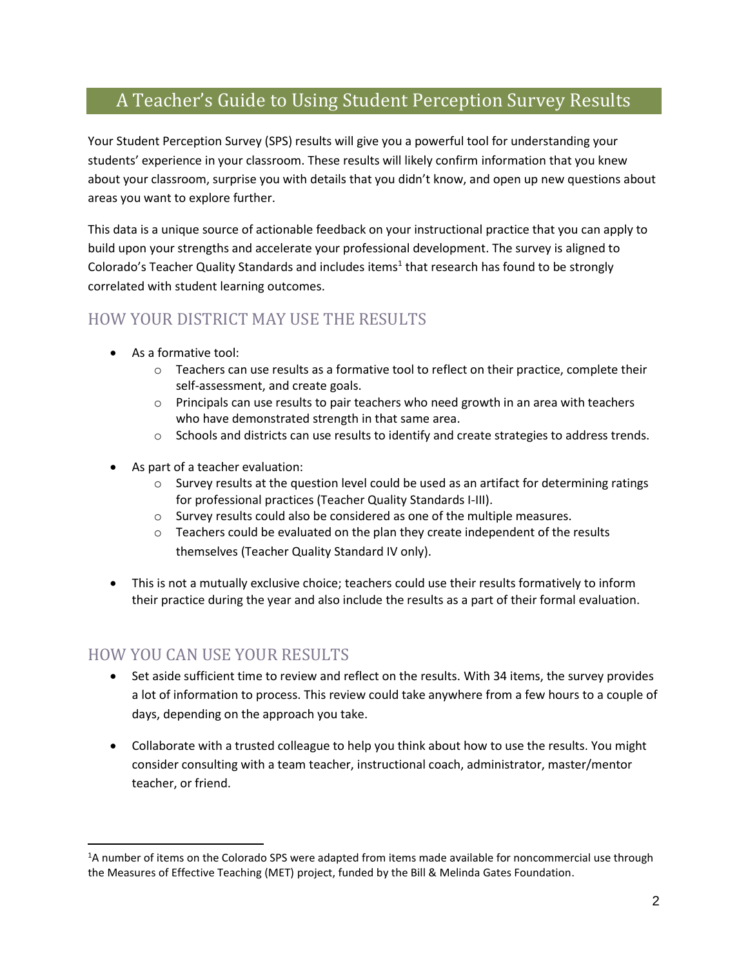## <span id="page-1-0"></span>A Teacher's Guide to Using Student Perception Survey Results

Your Student Perception Survey (SPS) results will give you a powerful tool for understanding your students' experience in your classroom. These results will likely confirm information that you knew about your classroom, surprise you with details that you didn't know, and open up new questions about areas you want to explore further.

This data is a unique source of actionable feedback on your instructional practice that you can apply to build upon your strengths and accelerate your professional development. The survey is aligned to Colorado's Teacher Quality Standards and includes items<sup>1</sup> that research has found to be strongly correlated with student learning outcomes.

### HOW YOUR DISTRICT MAY USE THE RESULTS

- As a formative tool:
	- $\circ$  Teachers can use results as a formative tool to reflect on their practice, complete their self-assessment, and create goals.
	- $\circ$  Principals can use results to pair teachers who need growth in an area with teachers who have demonstrated strength in that same area.
	- $\circ$  Schools and districts can use results to identify and create strategies to address trends.
- As part of a teacher evaluation:
	- $\circ$  Survey results at the question level could be used as an artifact for determining ratings for professional practices (Teacher Quality Standards I-III).
	- o Survey results could also be considered as one of the multiple measures.
	- o Teachers could be evaluated on the plan they create independent of the results themselves (Teacher Quality Standard IV only).
- This is not a mutually exclusive choice; teachers could use their results formatively to inform their practice during the year and also include the results as a part of their formal evaluation.

### HOW YOU CAN USE YOUR RESULTS

 $\overline{a}$ 

- Set aside sufficient time to review and reflect on the results. With 34 items, the survey provides a lot of information to process. This review could take anywhere from a few hours to a couple of days, depending on the approach you take.
- Collaborate with a trusted colleague to help you think about how to use the results. You might consider consulting with a team teacher, instructional coach, administrator, master/mentor teacher, or friend.

<sup>&</sup>lt;sup>1</sup>A number of items on the Colorado SPS were adapted from items made available for noncommercial use through the Measures of Effective Teaching (MET) project, funded by the Bill & Melinda Gates Foundation.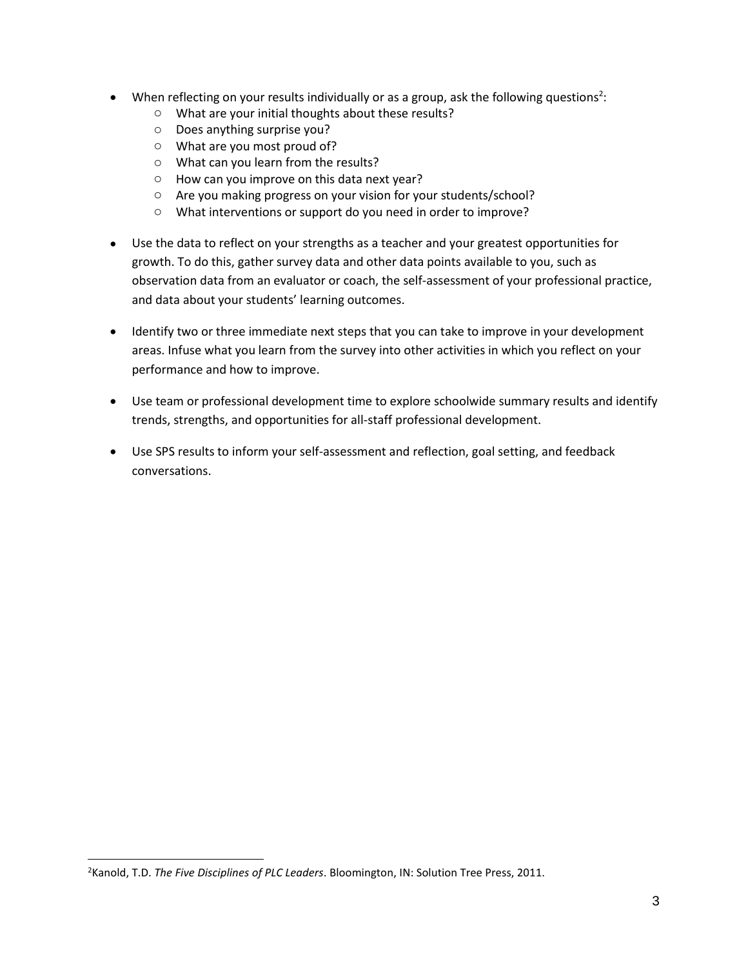- When reflecting on your results individually or as a group, ask the following questions<sup>2</sup>:
	- o What are your initial thoughts about these results?
	- o Does anything surprise you?
	- o What are you most proud of?
	- o What can you learn from the results?
	- o How can you improve on this data next year?
	- o Are you making progress on your vision for your students/school?
	- o What interventions or support do you need in order to improve?
- Use the data to reflect on your strengths as a teacher and your greatest opportunities for growth. To do this, gather survey data and other data points available to you, such as observation data from an evaluator or coach, the self-assessment of your professional practice, and data about your students' learning outcomes.
- Identify two or three immediate next steps that you can take to improve in your development areas. Infuse what you learn from the survey into other activities in which you reflect on your performance and how to improve.
- Use team or professional development time to explore schoolwide summary results and identify trends, strengths, and opportunities for all-staff professional development.
- Use SPS results to inform your self-assessment and reflection, goal setting, and feedback conversations.

<sup>2</sup>Kanold, T.D. *The Five Disciplines of PLC Leaders*. Bloomington, IN: Solution Tree Press, 2011.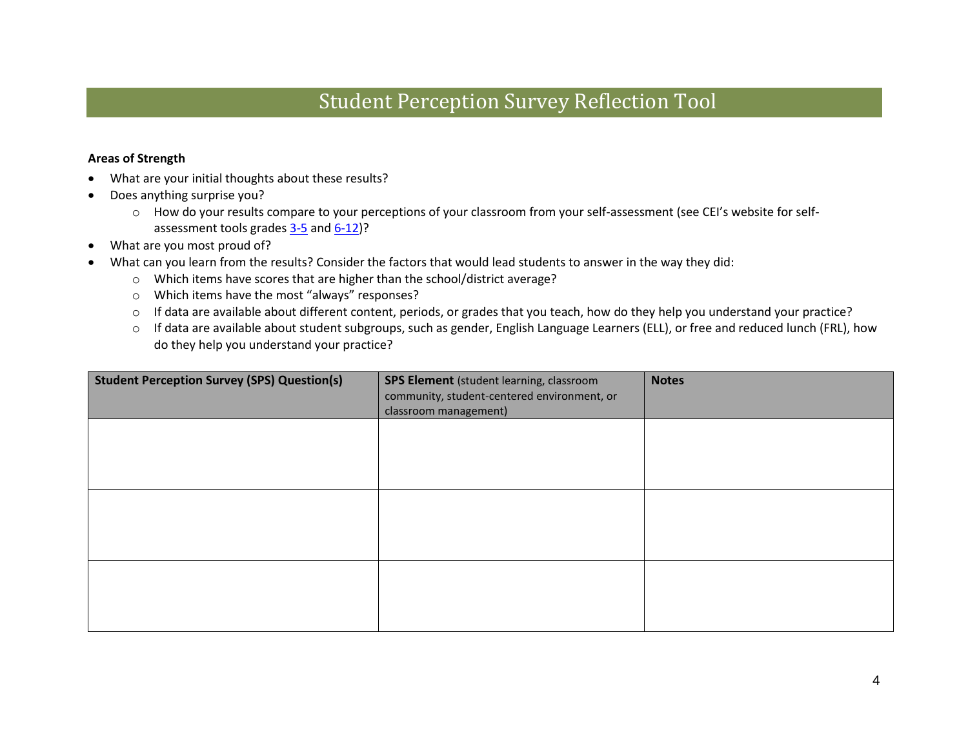## <span id="page-3-0"></span>Student Perception Survey Reflection Tool

#### **Areas of Strength**

- What are your initial thoughts about these results?
- Does anything surprise you?
	- o How do your results compare to your perceptions of your classroom from your self-assessment (see CEI's website for self-assessment tools grades [3-5](http://www.coloradoedinitiative.org/wp-content/uploads/2014/09/SPS_results_self-assessment-3-5_CEI.pdf) an[d 6-12\)](http://www.coloradoedinitiative.org/wp-content/uploads/2014/09/SPS_results_self-assessment-6-12_CEI.pdf)?
- What are you most proud of?
- What can you learn from the results? Consider the factors that would lead students to answer in the way they did:
	- o Which items have scores that are higher than the school/district average?
	- o Which items have the most "always" responses?
	- o If data are available about different content, periods, or grades that you teach, how do they help you understand your practice?
	- o If data are available about student subgroups, such as gender, English Language Learners (ELL), or free and reduced lunch (FRL), how do they help you understand your practice?

| <b>Student Perception Survey (SPS) Question(s)</b> | <b>SPS Element</b> (student learning, classroom<br>community, student-centered environment, or<br>classroom management) | <b>Notes</b> |
|----------------------------------------------------|-------------------------------------------------------------------------------------------------------------------------|--------------|
|                                                    |                                                                                                                         |              |
|                                                    |                                                                                                                         |              |
|                                                    |                                                                                                                         |              |
|                                                    |                                                                                                                         |              |
|                                                    |                                                                                                                         |              |
|                                                    |                                                                                                                         |              |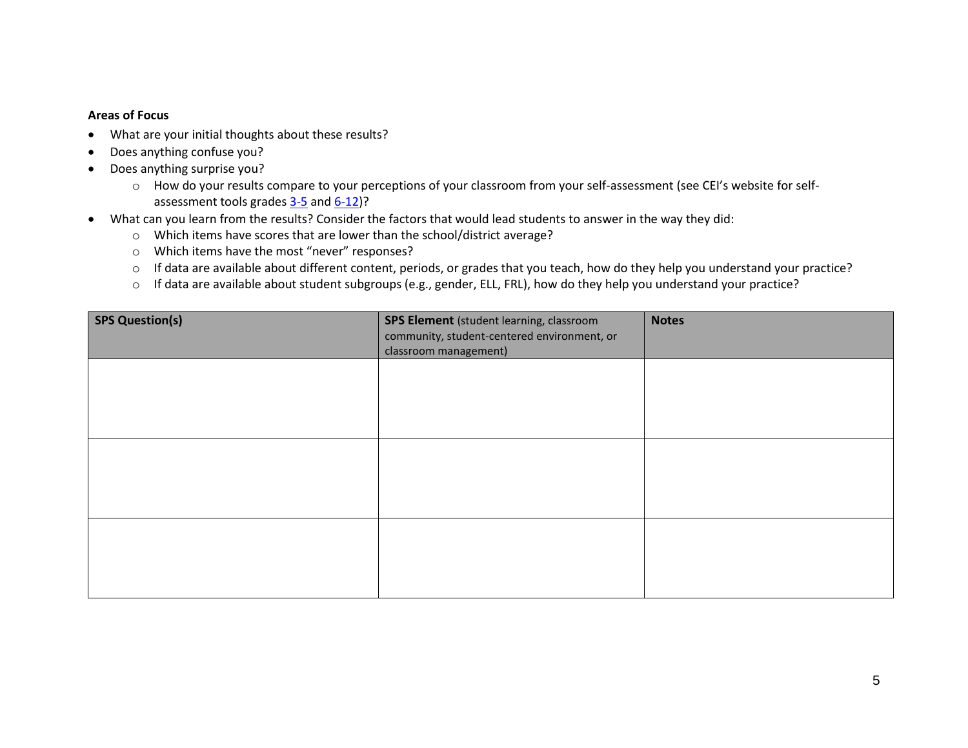#### **Areas of Focus**

- What are your initial thoughts about these results?
- Does anything confuse you?
- Does anything surprise you?
	- o How do your results compare to your perceptions of your classroom from your self-assessment (see CEI's website for self-assessment tools grades [3-5](http://www.coloradoedinitiative.org/wp-content/uploads/2014/09/SPS_results_self-assessment-3-5_CEI.pdf) an[d 6-12\)](http://www.coloradoedinitiative.org/wp-content/uploads/2014/09/SPS_results_self-assessment-6-12_CEI.pdf)?
- What can you learn from the results? Consider the factors that would lead students to answer in the way they did:
	- o Which items have scores that are lower than the school/district average?
	- o Which items have the most "never" responses?
	- o If data are available about different content, periods, or grades that you teach, how do they help you understand your practice?
	- o If data are available about student subgroups (e.g., gender, ELL, FRL), how do they help you understand your practice?

| <b>SPS Question(s)</b> | <b>SPS Element</b> (student learning, classroom<br>community, student-centered environment, or<br>classroom management) | <b>Notes</b> |
|------------------------|-------------------------------------------------------------------------------------------------------------------------|--------------|
|                        |                                                                                                                         |              |
|                        |                                                                                                                         |              |
|                        |                                                                                                                         |              |
|                        |                                                                                                                         |              |
|                        |                                                                                                                         |              |
|                        |                                                                                                                         |              |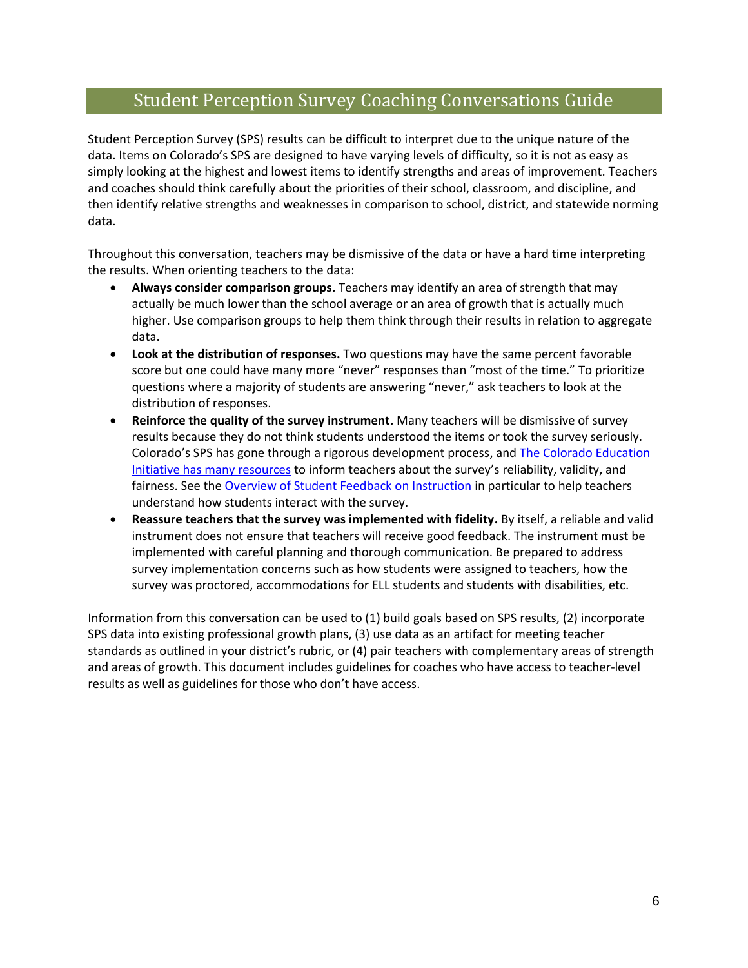## Student Perception Survey Coaching Conversations Guide

<span id="page-5-0"></span>Student Perception Survey (SPS) results can be difficult to interpret due to the unique nature of the data. Items on Colorado's SPS are designed to have varying levels of difficulty, so it is not as easy as simply looking at the highest and lowest items to identify strengths and areas of improvement. Teachers and coaches should think carefully about the priorities of their school, classroom, and discipline, and then identify relative strengths and weaknesses in comparison to school, district, and statewide norming data.

Throughout this conversation, teachers may be dismissive of the data or have a hard time interpreting the results. When orienting teachers to the data:

- **Always consider comparison groups.** Teachers may identify an area of strength that may actually be much lower than the school average or an area of growth that is actually much higher. Use comparison groups to help them think through their results in relation to aggregate data.
- **Look at the distribution of responses.** Two questions may have the same percent favorable score but one could have many more "never" responses than "most of the time." To prioritize questions where a majority of students are answering "never," ask teachers to look at the distribution of responses.
- **Reinforce the quality of the survey instrument.** Many teachers will be dismissive of survey results because they do not think students understood the items or took the survey seriously. Colorado's SPS has gone through a rigorous development process, and The Colorado Education [Initiative has many resources](http://www.coloradoedinitiative.org/toolkit/research/) to inform teachers about the survey's reliability, validity, and fairness. See the [Overview of Student Feedback on Instruction](http://www.coloradoedinitiative.org/wp-content/uploads/2014/09/SPS_Planning_comms_student-feedback-on-instruction-CEI.pdf) in particular to help teachers understand how students interact with the survey.
- **Reassure teachers that the survey was implemented with fidelity.** By itself, a reliable and valid instrument does not ensure that teachers will receive good feedback. The instrument must be implemented with careful planning and thorough communication. Be prepared to address survey implementation concerns such as how students were assigned to teachers, how the survey was proctored, accommodations for ELL students and students with disabilities, etc.

Information from this conversation can be used to (1) build goals based on SPS results, (2) incorporate SPS data into existing professional growth plans, (3) use data as an artifact for meeting teacher standards as outlined in your district's rubric, or (4) pair teachers with complementary areas of strength and areas of growth. This document includes guidelines for coaches who have access to teacher-level results as well as guidelines for those who don't have access.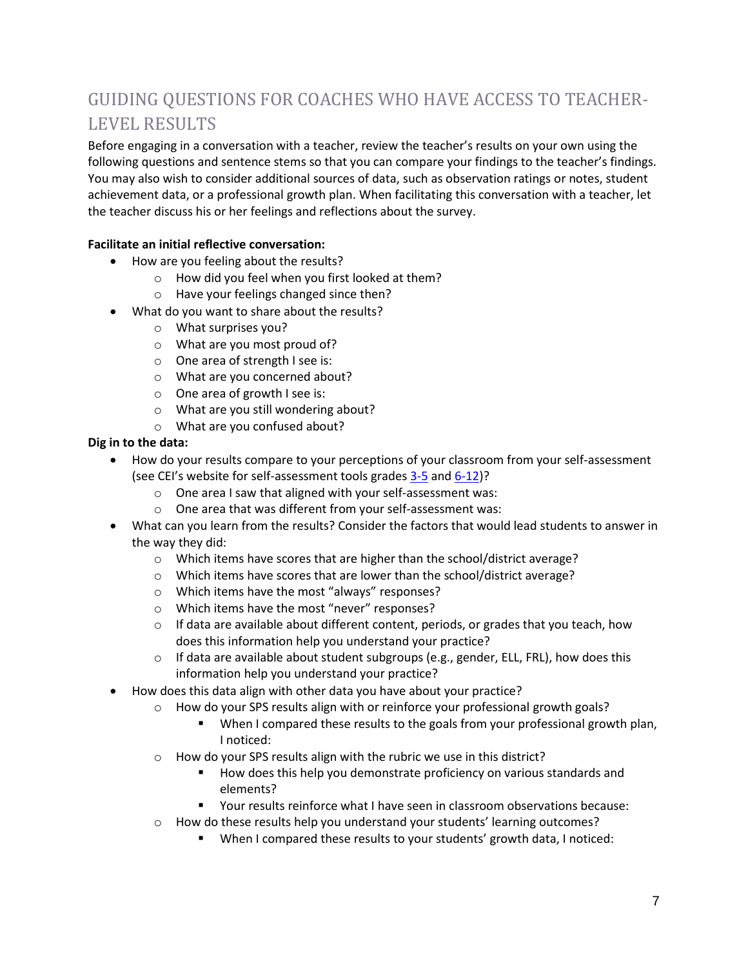## GUIDING QUESTIONS FOR COACHES WHO HAVE ACCESS TO TEACHER-LEVEL RESULTS

Before engaging in a conversation with a teacher, review the teacher's results on your own using the following questions and sentence stems so that you can compare your findings to the teacher's findings. You may also wish to consider additional sources of data, such as observation ratings or notes, student achievement data, or a professional growth plan. When facilitating this conversation with a teacher, let the teacher discuss his or her feelings and reflections about the survey.

### **Facilitate an initial reflective conversation:**

- How are you feeling about the results?
	- o How did you feel when you first looked at them?
	- o Have your feelings changed since then?
- What do you want to share about the results?
	- o What surprises you?
	- o What are you most proud of?
	- o One area of strength I see is:
	- o What are you concerned about?
	- o One area of growth I see is:
	- o What are you still wondering about?
	- o What are you confused about?

#### **Dig in to the data:**

- How do your results compare to your perceptions of your classroom from your self-assessment (see CEI's website for self-assessment tools grades [3-5](http://www.coloradoedinitiative.org/wp-content/uploads/2014/09/SPS_results_self-assessment-3-5_CEI.pdf) and [6-12\)](http://www.coloradoedinitiative.org/wp-content/uploads/2014/09/SPS_results_self-assessment-6-12_CEI.pdf)?
	- o One area I saw that aligned with your self-assessment was:
	- o One area that was different from your self-assessment was:
- What can you learn from the results? Consider the factors that would lead students to answer in the way they did:
	- o Which items have scores that are higher than the school/district average?
	- o Which items have scores that are lower than the school/district average?
	- o Which items have the most "always" responses?
	- o Which items have the most "never" responses?
	- o If data are available about different content, periods, or grades that you teach, how does this information help you understand your practice?
	- $\circ$  If data are available about student subgroups (e.g., gender, ELL, FRL), how does this information help you understand your practice?
- How does this data align with other data you have about your practice?
	- $\circ$  How do your SPS results align with or reinforce your professional growth goals?
		- When I compared these results to the goals from your professional growth plan, I noticed:
	- o How do your SPS results align with the rubric we use in this district?
		- How does this help you demonstrate proficiency on various standards and elements?
		- Your results reinforce what I have seen in classroom observations because:
	- $\circ$  How do these results help you understand your students' learning outcomes?
		- When I compared these results to your students' growth data, I noticed: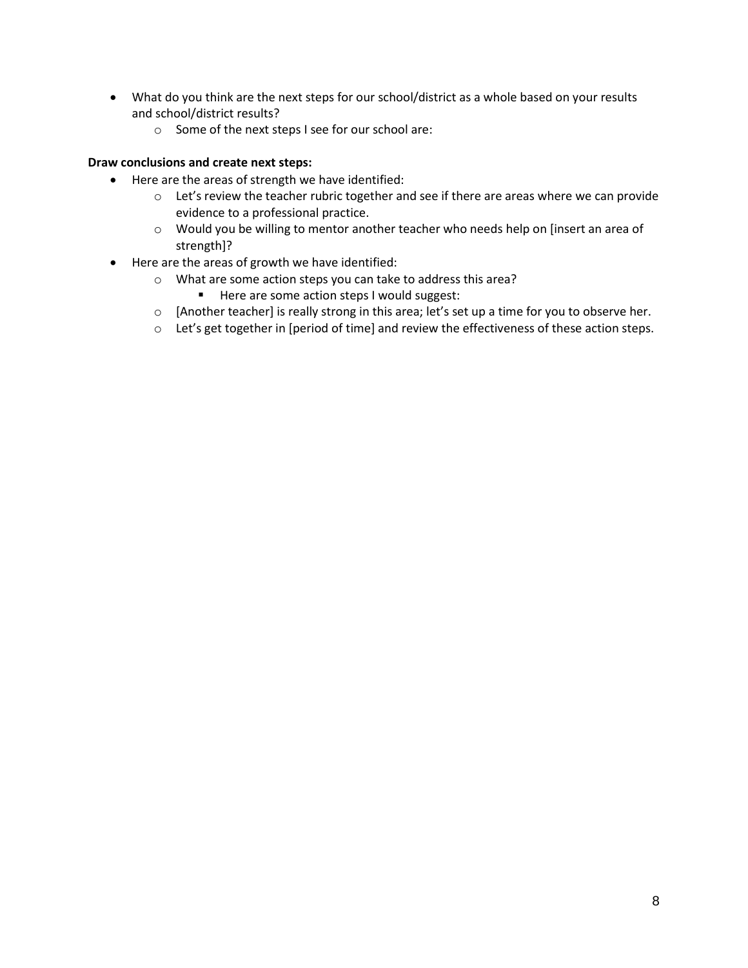- What do you think are the next steps for our school/district as a whole based on your results and school/district results?
	- o Some of the next steps I see for our school are:

### **Draw conclusions and create next steps:**

- Here are the areas of strength we have identified:
	- $\circ$  Let's review the teacher rubric together and see if there are areas where we can provide evidence to a professional practice.
	- o Would you be willing to mentor another teacher who needs help on [insert an area of strength]?
- Here are the areas of growth we have identified:
	- o What are some action steps you can take to address this area?
		- Here are some action steps I would suggest:
	- o [Another teacher] is really strong in this area; let's set up a time for you to observe her.
	- o Let's get together in [period of time] and review the effectiveness of these action steps.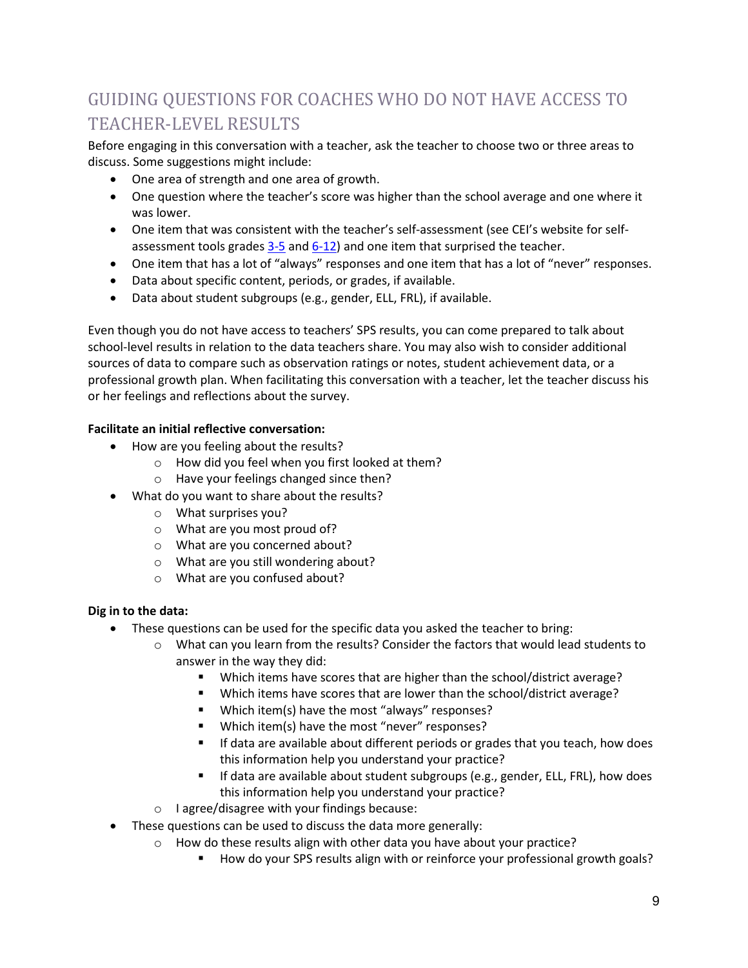## GUIDING QUESTIONS FOR COACHES WHO DO NOT HAVE ACCESS TO TEACHER-LEVEL RESULTS

Before engaging in this conversation with a teacher, ask the teacher to choose two or three areas to discuss. Some suggestions might include:

- One area of strength and one area of growth.
- One question where the teacher's score was higher than the school average and one where it was lower.
- One item that was consistent with the teacher's self-assessment (see CEI's website for selfassessment tools grades [3-5](http://www.coloradoedinitiative.org/wp-content/uploads/2014/09/SPS_results_self-assessment-3-5_CEI.pdf) an[d 6-12\)](http://www.coloradoedinitiative.org/wp-content/uploads/2014/09/SPS_results_self-assessment-6-12_CEI.pdf) and one item that surprised the teacher.
- One item that has a lot of "always" responses and one item that has a lot of "never" responses.
- Data about specific content, periods, or grades, if available.
- Data about student subgroups (e.g., gender, ELL, FRL), if available.

Even though you do not have access to teachers' SPS results, you can come prepared to talk about school-level results in relation to the data teachers share. You may also wish to consider additional sources of data to compare such as observation ratings or notes, student achievement data, or a professional growth plan. When facilitating this conversation with a teacher, let the teacher discuss his or her feelings and reflections about the survey.

### **Facilitate an initial reflective conversation:**

- How are you feeling about the results?
	- o How did you feel when you first looked at them?
	- o Have your feelings changed since then?
- What do you want to share about the results?
	- o What surprises you?
	- o What are you most proud of?
	- o What are you concerned about?
	- o What are you still wondering about?
	- o What are you confused about?

### **Dig in to the data:**

- These questions can be used for the specific data you asked the teacher to bring:
	- o What can you learn from the results? Consider the factors that would lead students to answer in the way they did:
		- Which items have scores that are higher than the school/district average?
		- Which items have scores that are lower than the school/district average?
		- Which item(s) have the most "always" responses?
		- Which item(s) have the most "never" responses?
		- If data are available about different periods or grades that you teach, how does this information help you understand your practice?
		- **If data are available about student subgroups (e.g., gender, ELL, FRL), how does** this information help you understand your practice?
	- o I agree/disagree with your findings because:
- These questions can be used to discuss the data more generally:
	- o How do these results align with other data you have about your practice?
		- How do your SPS results align with or reinforce your professional growth goals?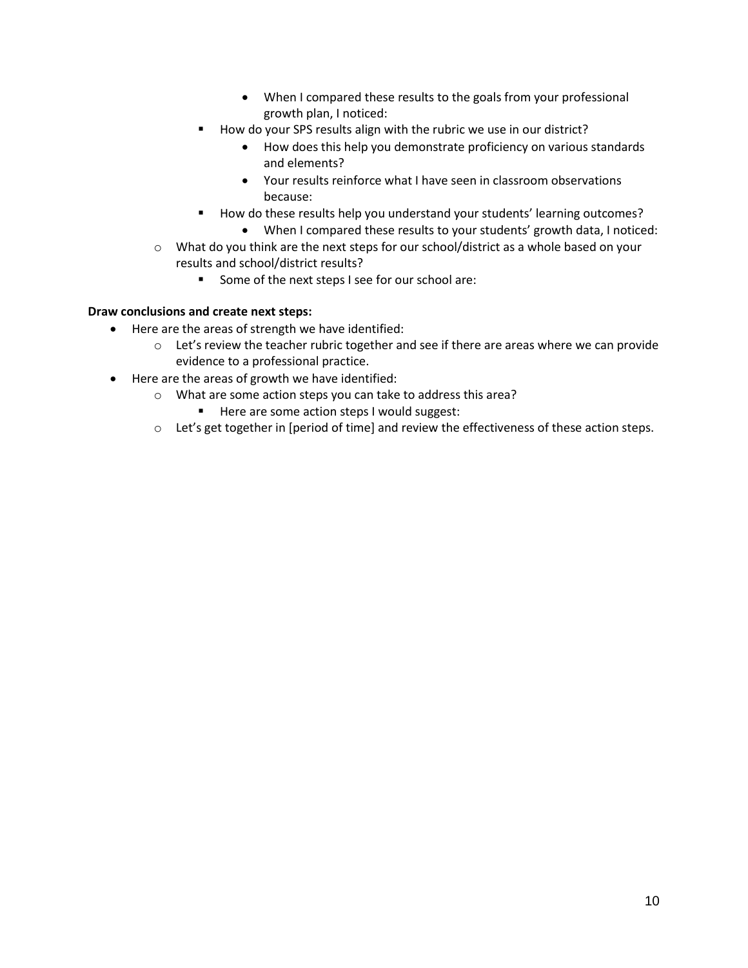- When I compared these results to the goals from your professional growth plan, I noticed:
- How do your SPS results align with the rubric we use in our district?
	- How does this help you demonstrate proficiency on various standards and elements?
	- Your results reinforce what I have seen in classroom observations because:
- How do these results help you understand your students' learning outcomes?
	- When I compared these results to your students' growth data, I noticed:
- o What do you think are the next steps for our school/district as a whole based on your results and school/district results?
	- Some of the next steps I see for our school are:

### **Draw conclusions and create next steps:**

- Here are the areas of strength we have identified:
	- $\circ$  Let's review the teacher rubric together and see if there are areas where we can provide evidence to a professional practice.
- Here are the areas of growth we have identified:
	- o What are some action steps you can take to address this area?
		- Here are some action steps I would suggest:
	- o Let's get together in [period of time] and review the effectiveness of these action steps.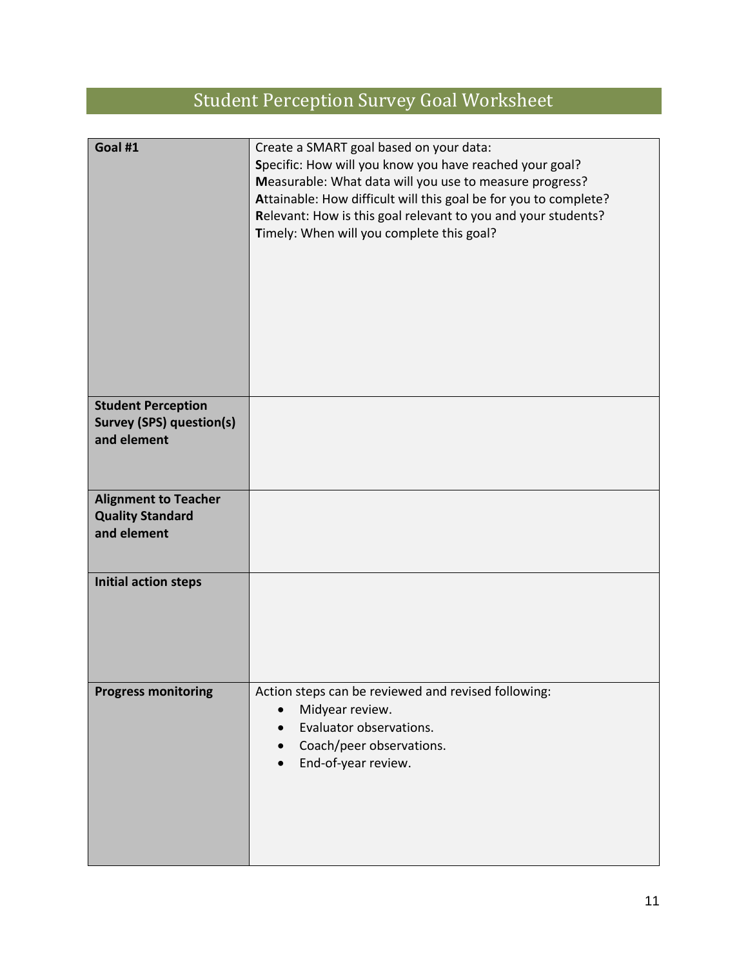# <span id="page-10-1"></span>Student Perception Survey Goal Worksheet

<span id="page-10-0"></span>

| Goal #1                                                                     | Create a SMART goal based on your data:<br>Specific: How will you know you have reached your goal?<br>Measurable: What data will you use to measure progress?<br>Attainable: How difficult will this goal be for you to complete?<br>Relevant: How is this goal relevant to you and your students?<br>Timely: When will you complete this goal? |
|-----------------------------------------------------------------------------|-------------------------------------------------------------------------------------------------------------------------------------------------------------------------------------------------------------------------------------------------------------------------------------------------------------------------------------------------|
| <b>Student Perception</b><br><b>Survey (SPS) question(s)</b><br>and element |                                                                                                                                                                                                                                                                                                                                                 |
| <b>Alignment to Teacher</b><br><b>Quality Standard</b><br>and element       |                                                                                                                                                                                                                                                                                                                                                 |
| <b>Initial action steps</b>                                                 |                                                                                                                                                                                                                                                                                                                                                 |
| <b>Progress monitoring</b>                                                  | Action steps can be reviewed and revised following:<br>Midyear review.<br>Evaluator observations.<br>$\bullet$<br>Coach/peer observations.<br>$\bullet$<br>End-of-year review.<br>$\bullet$                                                                                                                                                     |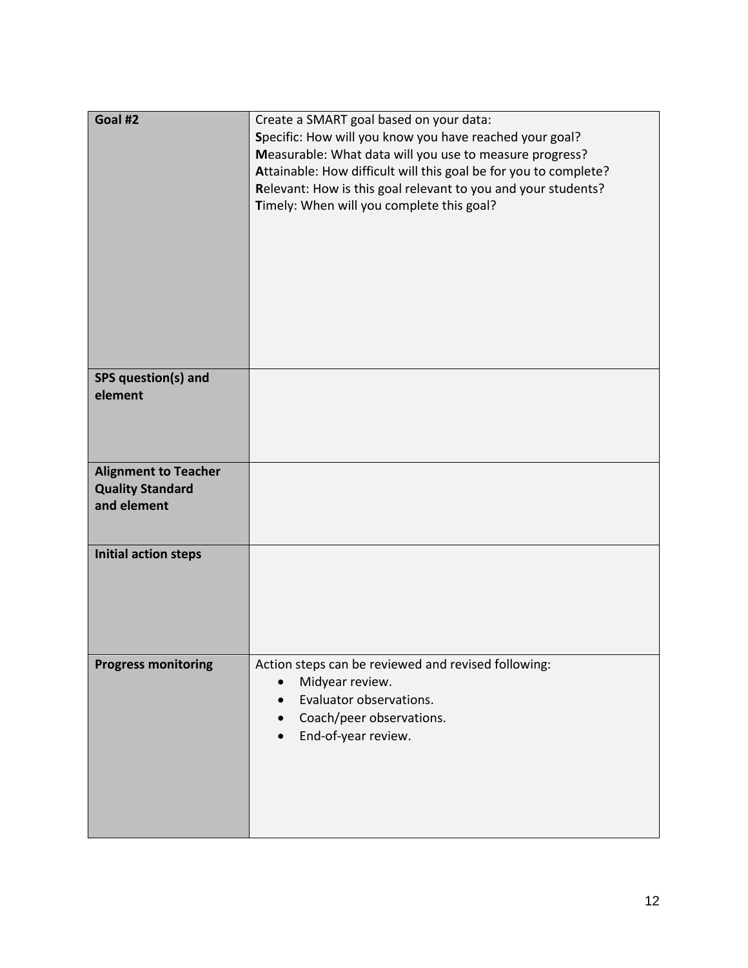| Goal #2                                                               | Create a SMART goal based on your data:<br>Specific: How will you know you have reached your goal?<br>Measurable: What data will you use to measure progress?<br>Attainable: How difficult will this goal be for you to complete?<br>Relevant: How is this goal relevant to you and your students?<br>Timely: When will you complete this goal? |
|-----------------------------------------------------------------------|-------------------------------------------------------------------------------------------------------------------------------------------------------------------------------------------------------------------------------------------------------------------------------------------------------------------------------------------------|
| SPS question(s) and<br>element                                        |                                                                                                                                                                                                                                                                                                                                                 |
| <b>Alignment to Teacher</b><br><b>Quality Standard</b><br>and element |                                                                                                                                                                                                                                                                                                                                                 |
| <b>Initial action steps</b>                                           |                                                                                                                                                                                                                                                                                                                                                 |
| <b>Progress monitoring</b>                                            | Action steps can be reviewed and revised following:<br>Midyear review.<br>Evaluator observations.<br>$\bullet$<br>Coach/peer observations.<br>$\bullet$<br>End-of-year review.<br>$\bullet$                                                                                                                                                     |